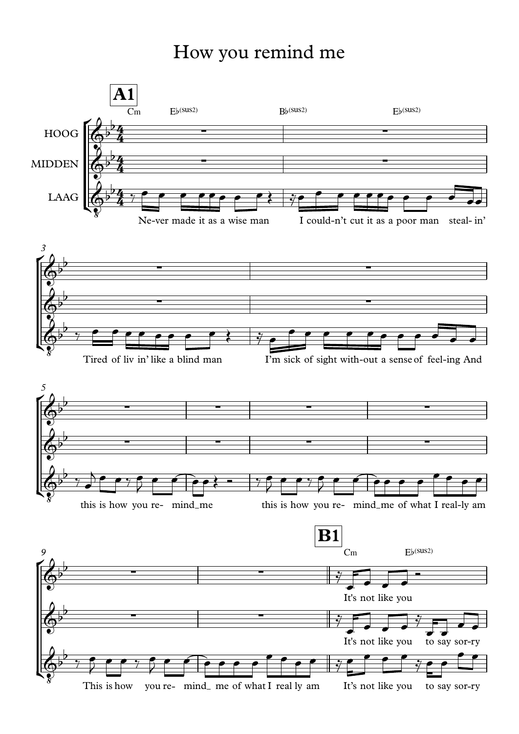## How you remind me

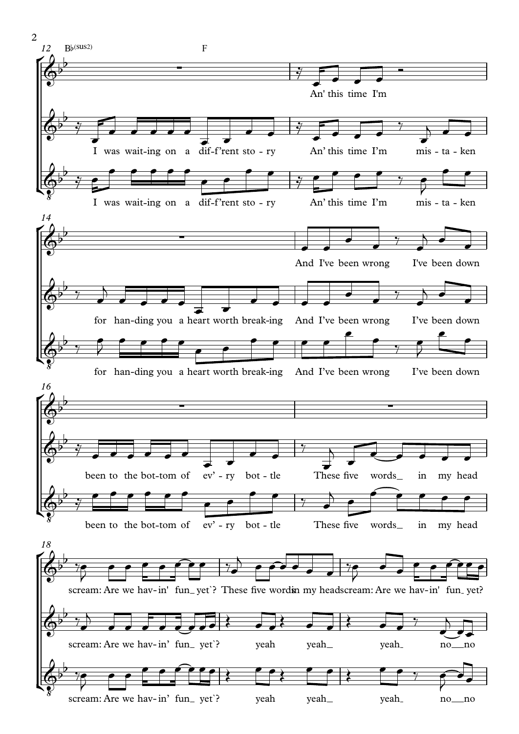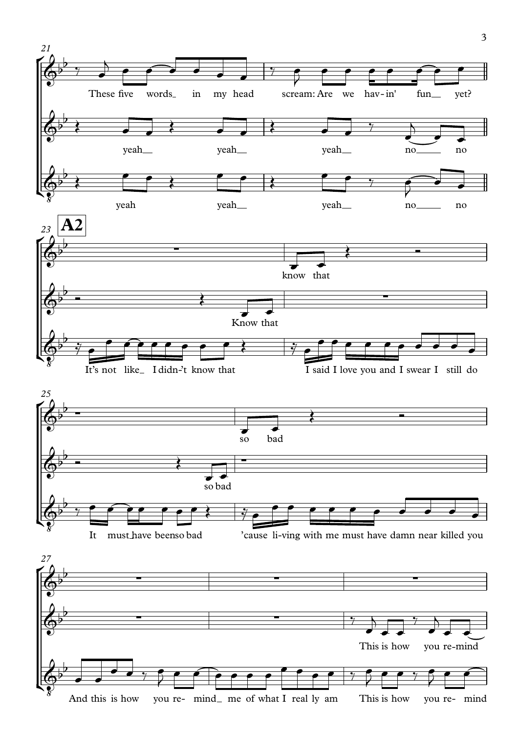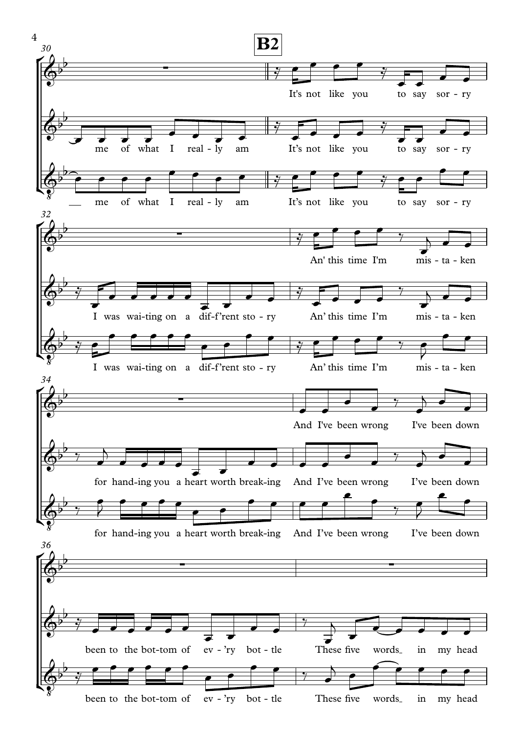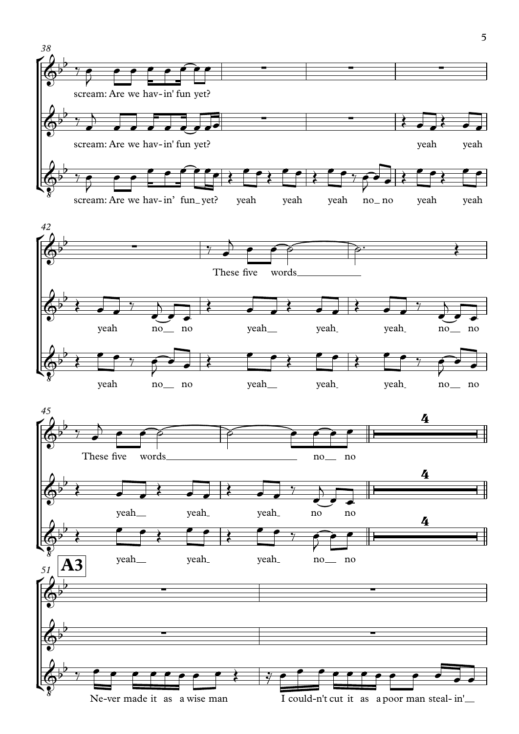

Ne-ver made it as a wise man I could-n't cut it as a poor man steal-in'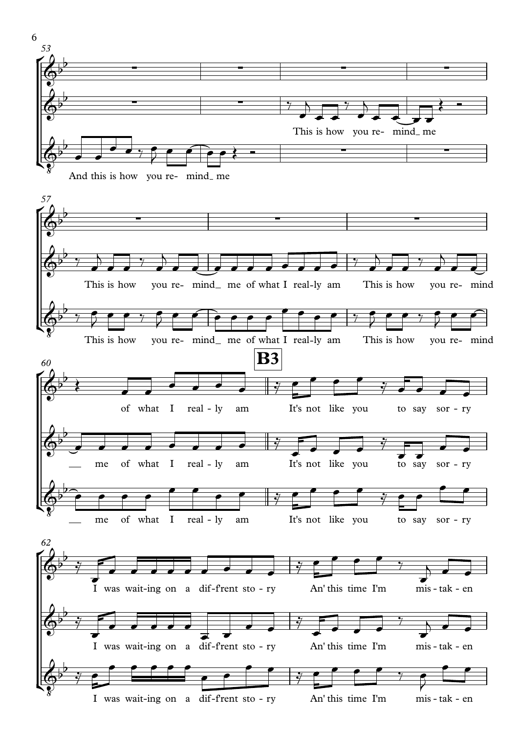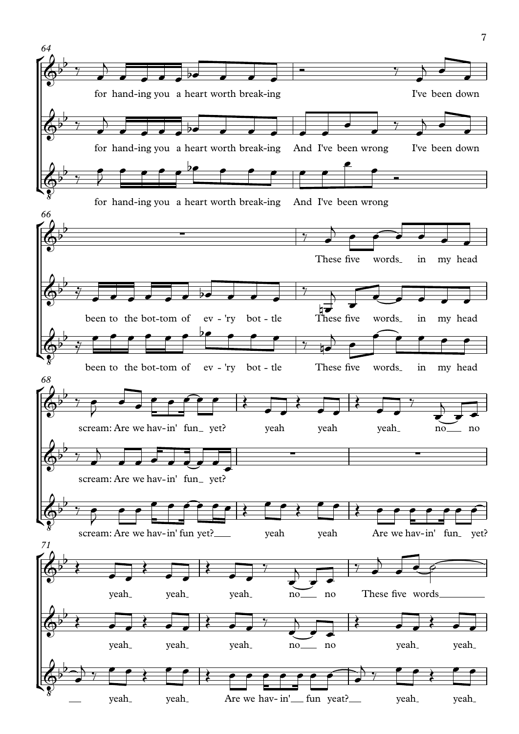